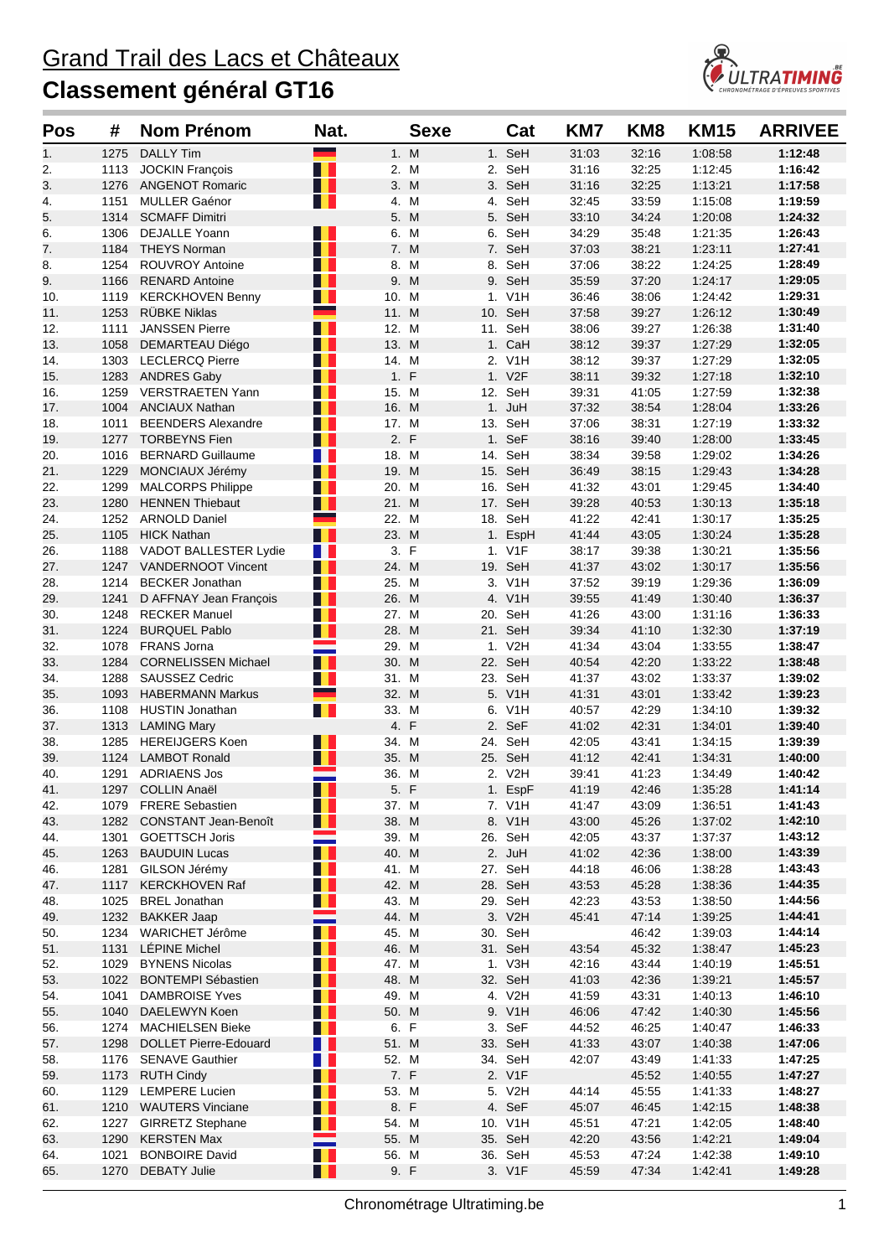

| <b>Pos</b> | #            | <b>Nom Prénom</b>                                | Nat.              |                | <b>Sexe</b> | Cat                | KM7            | KM <sub>8</sub> | <b>KM15</b>        | <b>ARRIVEE</b>     |
|------------|--------------|--------------------------------------------------|-------------------|----------------|-------------|--------------------|----------------|-----------------|--------------------|--------------------|
| 1.         | 1275         | <b>DALLY Tim</b>                                 | -                 | 1. M           |             | 1. SeH             | 31:03          | 32:16           | 1:08:58            | 1:12:48            |
| 2.         | 1113         | <b>JOCKIN François</b>                           | H                 | 2. M           |             | 2. SeH             | 31:16          | 32:25           | 1:12:45            | 1:16:42            |
| 3.         | 1276         | <b>ANGENOT Romaric</b>                           | l I               | 3. M           |             | 3. SeH             | 31:16          | 32:25           | 1:13:21            | 1:17:58            |
| 4.         | 1151         | <b>MULLER Gaénor</b>                             | H.                | 4. M           |             | 4. SeH             | 32:45          | 33:59           | 1:15:08            | 1:19:59            |
| 5.         | 1314         | <b>SCMAFF Dimitri</b>                            |                   | 5. M           |             | 5. SeH             | 33:10          | 34:24           | 1:20:08            | 1:24:32            |
| 6.         | 1306         | <b>DEJALLE Yoann</b>                             |                   | 6. M           |             | 6. SeH             | 34:29          | 35:48           | 1:21:35            | 1:26:43            |
| 7.         | 1184         | <b>THEYS Norman</b>                              | T                 | 7. M           |             | 7. SeH             | 37:03          | 38:21           | 1:23:11            | 1:27:41            |
| 8.         | 1254         | <b>ROUVROY Antoine</b>                           | H                 | 8. M           |             | 8. SeH             | 37:06          | 38:22           | 1:24:25            | 1:28:49            |
| 9.         | 1166         | <b>RENARD Antoine</b><br><b>KERCKHOVEN Benny</b> | H<br>H            | 9. M           |             | 9. SeH             | 35:59<br>36:46 | 37:20           | 1:24:17            | 1:29:05<br>1:29:31 |
| 10.<br>11. | 1119<br>1253 | <b>RUBKE Niklas</b>                              | ۳                 | 10. M<br>11. M |             | 1. V1H<br>10. SeH  | 37:58          | 38:06<br>39:27  | 1:24:42<br>1:26:12 | 1:30:49            |
| 12.        | 1111         | <b>JANSSEN Pierre</b>                            | H.                | 12. M          |             | 11. SeH            | 38:06          | 39:27           | 1:26:38            | 1:31:40            |
| 13.        | 1058         | DEMARTEAU Diégo                                  | H                 | 13. M          |             | 1. CaH             | 38:12          | 39:37           | 1:27:29            | 1:32:05            |
| 14.        |              | 1303 LECLERCQ Pierre                             | H.                | 14. M          |             | 2. V1H             | 38:12          | 39:37           | 1:27:29            | 1:32:05            |
| 15.        |              | 1283 ANDRES Gaby                                 | H.                | 1. F           |             | 1. V2F             | 38:11          | 39:32           | 1:27:18            | 1:32:10            |
| 16.        | 1259         | <b>VERSTRAETEN Yann</b>                          | H I               | 15. M          |             | 12. SeH            | 39:31          | 41:05           | 1:27:59            | 1:32:38            |
| 17.        | 1004         | <b>ANCIAUX Nathan</b>                            | H                 | 16. M          |             | 1. JuH             | 37:32          | 38:54           | 1:28:04            | 1:33:26            |
| 18.        | 1011         | <b>BEENDERS Alexandre</b>                        | H                 | 17. M          |             | 13. SeH            | 37:06          | 38:31           | 1:27:19            | 1:33:32            |
| 19.        | 1277         | <b>TORBEYNS Fien</b>                             | H                 | 2. F           |             | 1. SeF             | 38:16          | 39:40           | 1:28:00            | 1:33:45            |
| 20.        | 1016         | <b>BERNARD Guillaume</b>                         | <b>TIME</b>       | 18. M          |             | 14. SeH            | 38:34          | 39:58           | 1:29:02            | 1:34:26            |
| 21.        | 1229         | MONCIAUX Jérémy                                  | l I               | 19. M          |             | 15. SeH            | 36:49          | 38:15           | 1:29:43            | 1:34:28            |
| 22.        | 1299         | <b>MALCORPS Philippe</b>                         | H.                | 20. M          |             | 16. SeH            | 41:32          | 43:01           | 1:29:45            | 1:34:40            |
| 23.        | 1280         | <b>HENNEN Thiebaut</b>                           | U                 | 21. M          |             | 17. SeH            | 39:28          | 40:53           | 1:30:13            | 1:35:18            |
| 24.<br>25. | 1252<br>1105 | <b>ARNOLD Daniel</b><br><b>HICK Nathan</b>       | $\mathbf{L}$      | 22. M<br>23. M |             | 18. SeH<br>1. EspH | 41:22<br>41:44 | 42:41<br>43:05  | 1:30:17<br>1:30:24 | 1:35:25<br>1:35:28 |
| 26.        |              | 1188 VADOT BALLESTER Lydie                       | T F               | 3. F           |             | 1. V1F             | 38:17          | 39:38           | 1:30:21            | 1:35:56            |
| 27.        |              | 1247 VANDERNOOT Vincent                          | H                 | 24. M          |             | 19. SeH            | 41:37          | 43:02           | 1:30:17            | 1:35:56            |
| 28.        | 1214         | <b>BECKER Jonathan</b>                           | H                 | 25. M          |             | 3. V1H             | 37:52          | 39:19           | 1:29:36            | 1:36:09            |
| 29.        | 1241         | D AFFNAY Jean François                           | H I               | 26. M          |             | 4. V1H             | 39:55          | 41:49           | 1:30:40            | 1:36:37            |
| 30.        | 1248         | <b>RECKER Manuel</b>                             | H                 | 27. M          |             | 20. SeH            | 41:26          | 43:00           | 1:31:16            | 1:36:33            |
| 31.        | 1224         | <b>BURQUEL Pablo</b>                             | H I               | 28. M          |             | 21. SeH            | 39:34          | 41:10           | 1:32:30            | 1:37:19            |
| 32.        | 1078         | <b>FRANS Jorna</b>                               |                   | 29. M          |             | 1. V2H             | 41:34          | 43:04           | 1:33:55            | 1:38:47            |
| 33.        | 1284         | <b>CORNELISSEN Michael</b>                       | H                 | 30. M          |             | 22. SeH            | 40:54          | 42:20           | 1:33:22            | 1:38:48            |
| 34.        | 1288         | <b>SAUSSEZ Cedric</b>                            | <b>THE</b>        | 31. M          |             | 23. SeH            | 41:37          | 43:02           | 1:33:37            | 1:39:02            |
| 35.        | 1093         | <b>HABERMANN Markus</b>                          | ۳                 | 32. M          |             | 5. V1H             | 41:31          | 43:01           | 1:33:42            | 1:39:23            |
| 36.        | 1108         | <b>HUSTIN Jonathan</b>                           | H.                | 33. M          |             | 6. V1H             | 40:57          | 42:29           | 1:34:10            | 1:39:32            |
| 37.<br>38. | 1313<br>1285 | <b>LAMING Mary</b><br><b>HEREIJGERS Koen</b>     | Œ                 | 4. F<br>34. M  |             | 2. SeF<br>24. SeH  | 41:02<br>42:05 | 42:31<br>43:41  | 1:34:01<br>1:34:15 | 1:39:40<br>1:39:39 |
| 39.        | 1124         | <b>LAMBOT Ronald</b>                             | H                 | 35. M          |             | 25. SeH            | 41:12          | 42:41           | 1:34:31            | 1:40:00            |
| 40.        | 1291         | <b>ADRIAENS Jos</b>                              |                   | 36. M          |             | 2. V2H             | 39:41          | 41:23           | 1:34:49            | 1:40:42            |
| 41.        |              | 1297 COLLIN Anaël                                | H.                | 5. F           |             | 1. EspF            | 41:19          | 42:46           | 1:35:28            | 1:41:14            |
| 42.        |              | 1079 FRERE Sebastien                             | H.                | 37. M          |             | 7. V1H             | 41:47          | 43:09           | 1:36:51            | 1:41:43            |
| 43.        |              | 1282 CONSTANT Jean-Benoît                        |                   | 38. M          |             | 8. V1H             | 43:00          | 45:26           | 1:37:02            | 1:42:10            |
| 44.        | 1301         | <b>GOETTSCH Joris</b>                            |                   | 39. M          |             | 26. SeH            | 42:05          | 43:37           | 1:37:37            | 1:43:12            |
| 45.        |              | 1263 BAUDUIN Lucas                               | H                 | 40. M          |             | 2. JuH             | 41:02          | 42:36           | 1:38:00            | 1:43:39            |
| 46.        |              | 1281 GILSON Jérémy                               | H                 | 41. M          |             | 27. SeH            | 44:18          | 46:06           | 1:38:28            | 1:43:43            |
| 47.        |              | 1117 KERCKHOVEN Raf                              | H I               | 42. M          |             | 28. SeH            | 43:53          | 45:28           | 1:38:36            | 1:44:35            |
| 48.        |              | 1025 BREL Jonathan                               | Ш                 | 43. M          |             | 29. SeH            | 42:23          | 43:53           | 1:38:50            | 1:44:56            |
| 49.        |              | 1232 BAKKER Jaap                                 |                   | 44. M          |             | 3. V2H             | 45:41          | 47:14           | 1:39:25            | 1:44:41            |
| 50.        |              | 1234 WARICHET Jérôme                             | H.<br>H           | 45. M          |             | 30. SeH            |                | 46:42           | 1:39:03            | 1:44:14            |
| 51.<br>52. |              | 1131 LEPINE Michel<br>1029 BYNENS Nicolas        | H I               | 46. M<br>47. M |             | 31. SeH<br>1. V3H  | 43:54<br>42:16 | 45:32<br>43:44  | 1:38:47<br>1:40:19 | 1:45:23<br>1:45:51 |
| 53.        |              | 1022 BONTEMPI Sébastien                          | H                 | 48. M          |             | 32. SeH            | 41:03          | 42:36           | 1:39:21            | 1:45:57            |
| 54.        |              | 1041 DAMBROISE Yves                              | H                 | 49. M          |             | 4. V2H             | 41:59          | 43:31           | 1:40:13            | 1:46:10            |
| 55.        |              | 1040 DAELEWYN Koen                               | H                 | 50. M          |             | 9. V1H             | 46:06          | 47:42           | 1:40:30            | 1:45:56            |
| 56.        |              | 1274 MACHIELSEN Bieke                            | H L               | 6. F           |             | 3. SeF             | 44.52          | 46:25           | 1:40:47            | 1:46:33            |
| 57.        |              | 1298 DOLLET Pierre-Edouard                       | <b>TELEVISION</b> | 51. M          |             | 33. SeH            | 41:33          | 43:07           | 1:40:38            | 1:47:06            |
| 58.        |              | 1176 SENAVE Gauthier                             | H I               | 52. M          |             | 34. SeH            | 42:07          | 43:49           | 1:41:33            | 1:47:25            |
| 59.        |              | 1173 RUTH Cindy                                  | H                 | 7. F           |             | 2. V1F             |                | 45:52           | 1:40:55            | 1:47:27            |
| 60.        |              | 1129 LEMPERE Lucien                              | H.                | 53. M          |             | 5. V2H             | 44:14          | 45:55           | 1:41:33            | 1:48:27            |
| 61.        |              | 1210 WAUTERS Vinciane                            | H                 | 8. F           |             | 4. SeF             | 45:07          | 46:45           | 1:42:15            | 1:48:38            |
| 62.        |              | 1227 GIRRETZ Stephane                            | W                 | 54. M          |             | 10. V1H            | 45:51          | 47:21           | 1:42:05            | 1:48:40            |
| 63.        |              | 1290 KERSTEN Max                                 |                   | 55. M          |             | 35. SeH            | 42:20          | 43:56           | 1:42:21            | 1:49:04            |
| 64.        | 1021         | <b>BONBOIRE David</b>                            | H                 | 56. M          |             | 36. SeH            | 45:53          | 47:24           | 1:42:38            | 1:49:10            |
| 65.        |              | 1270 DEBATY Julie                                | H                 | 9. F           |             | 3. V1F             | 45:59          | 47:34           | 1:42:41            | 1:49:28            |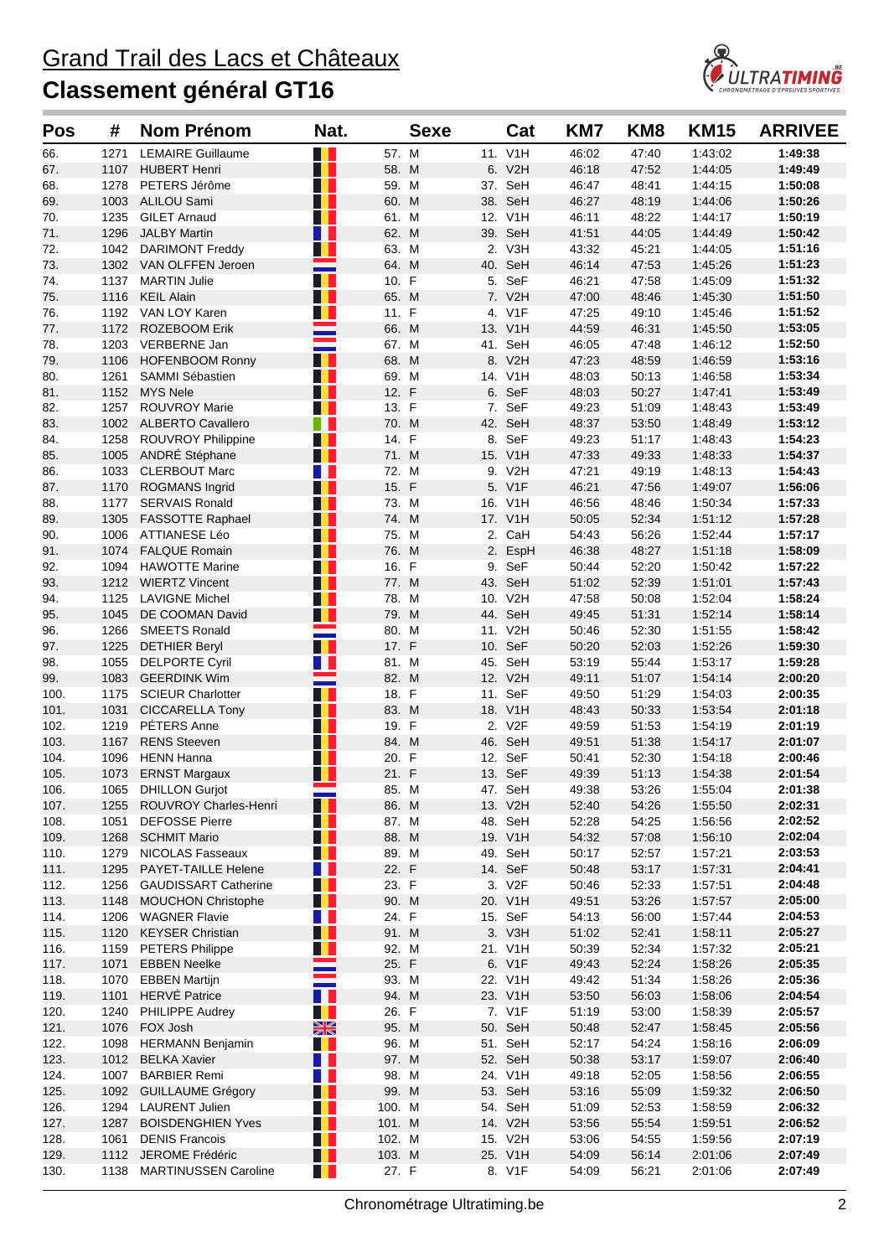

| <b>Pos</b>   | #            | <b>Nom Prénom</b>                              | Nat.                      |                | <b>Sexe</b> |     | Cat                | KM7            | KM <sub>8</sub> | <b>KM15</b>        | <b>ARRIVEE</b>     |
|--------------|--------------|------------------------------------------------|---------------------------|----------------|-------------|-----|--------------------|----------------|-----------------|--------------------|--------------------|
| 66.          | 1271         | <b>LEMAIRE Guillaume</b>                       | H.                        | 57. M          |             |     | 11. V1H            | 46:02          | 47:40           | 1:43:02            | 1:49:38            |
| 67.          | 1107         | <b>HUBERT Henri</b>                            | H                         | 58. M          |             |     | 6. V2H             | 46:18          | 47:52           | 1:44:05            | 1:49:49            |
| 68.          | 1278         | PETERS Jérôme                                  | H.                        | 59. M          |             |     | 37. SeH            | 46:47          | 48:41           | 1:44:15            | 1:50:08            |
| 69.          | 1003         | ALILOU Sami                                    | W                         | 60. M          |             |     | 38. SeH            | 46:27          | 48:19           | 1:44:06            | 1:50:26            |
| 70.          | 1235         | <b>GILET Arnaud</b>                            | H I                       | 61. M          |             |     | 12. V1H            | 46:11          | 48:22           | 1:44:17            | 1:50:19            |
| 71.          | 1296         | <b>JALBY Martin</b>                            | H.                        | 62. M          |             |     | 39. SeH            | 41:51          | 44:05           | 1:44:49            | 1:50:42            |
| 72.          |              | 1042 DARIMONT Freddy                           | H.                        | 63. M          |             |     | 2. V3H             | 43:32          | 45:21           | 1:44:05            | 1:51:16            |
| 73.          |              | 1302 VAN OLFFEN Jeroen                         | H                         | 64. M          |             | 40. | SeH<br>5. SeF      | 46:14          | 47:53           | 1.45.26<br>1:45:09 | 1:51:23            |
| 74.<br>75.   | 1137<br>1116 | <b>MARTIN Julie</b><br><b>KEIL Alain</b>       | H I                       | 10. F<br>65. M |             |     | 7. V2H             | 46:21<br>47:00 | 47:58<br>48:46  | 1:45:30            | 1:51:32<br>1:51:50 |
| 76.          | 1192         | VAN LOY Karen                                  | T                         | 11. F          |             |     | 4. V1F             | 47:25          | 49:10           | 1:45:46            | 1:51:52            |
| 77.          | 1172         | <b>ROZEBOOM Erik</b>                           |                           | 66. M          |             |     | 13. V1H            | 44:59          | 46.31           | 1:45:50            | 1:53:05            |
| 78.          | 1203         | VERBERNE Jan                                   |                           | 67. M          |             |     | 41. SeH            | 46:05          | 47:48           | 1:46:12            | 1:52:50            |
| 79.          | 1106         | <b>HOFENBOOM Ronny</b>                         |                           | 68. M          |             |     | 8. V2H             | 47:23          | 48:59           | 1:46:59            | 1:53:16            |
| 80.          | 1261         | SAMMI Sébastien                                | H                         | 69. M          |             | 14. | V <sub>1</sub> H   | 48:03          | 50:13           | 1:46:58            | 1:53:34            |
| 81.          | 1152         | <b>MYS Nele</b>                                | H                         | 12. F          |             |     | 6. SeF             | 48:03          | 50:27           | 1:47:41            | 1:53:49            |
| 82.          | 1257         | ROUVROY Marie                                  | a provincia de la contrad | 13. F          |             |     | 7. SeF             | 49:23          | 51:09           | 1:48:43            | 1:53:49            |
| 83.          |              | 1002 ALBERTO Cavallero                         | ш                         | 70. M          |             | 42. | SeH                | 48:37          | 53:50           | 1:48:49            | 1:53:12            |
| 84.          | 1258         | <b>ROUVROY Philippine</b>                      | H.                        | 14. F          |             | 8.  | SeF                | 49:23          | 51:17           | 1:48:43            | 1:54:23            |
| 85.          | 1005         | ANDRÉ Stéphane                                 | H I                       | 71. M          |             |     | 15. V1H            | 47:33          | 49:33           | 1:48:33            | 1:54:37            |
| 86.          | 1033         | <b>CLERBOUT Marc</b>                           | n p                       | 72. M          |             |     | 9. V2H             | 47:21          | 49:19           | 1:48:13            | 1:54:43            |
| 87.          | 1170         | <b>ROGMANS Ingrid</b>                          | HH.                       | 15. F          |             |     | 5. V1F             | 46:21          | 47:56           | 1:49:07            | 1:56:06            |
| 88.          | 1177         | <b>SERVAIS Ronald</b>                          | H.                        | 73. M          |             |     | 16. V1H            | 46:56          | 48:46           | 1:50:34            | 1:57:33            |
| 89.          | 1305         | <b>FASSOTTE Raphael</b>                        | H I                       | 74. M          |             |     | 17. V1H            | 50:05          | 52:34           | 1:51:12            | 1:57:28            |
| 90.          | 1006         | ATTIANESE Léo                                  | H.                        | 75. M          |             |     | 2. CaH             | 54:43          | 56:26           | 1:52:44            | 1:57:17            |
| 91.          | 1074         | <b>FALQUE Romain</b>                           | H I                       | 76. M          |             |     | 2. EspH            | 46:38          | 48:27           | 1:51:18            | 1:58:09            |
| 92.          | 1094<br>1212 | <b>HAWOTTE Marine</b>                          | H<br>H                    | 16. F          |             | 9.  | SeF                | 50:44          | 52:20           | 1:50:42            | 1:57:22<br>1:57:43 |
| 93.          | 1125         | <b>WIERTZ Vincent</b><br><b>LAVIGNE Michel</b> | W                         | 77. M<br>78. M |             |     | 43. SeH<br>10. V2H | 51:02<br>47:58 | 52:39<br>50:08  | 1:51:01<br>1:52:04 | 1:58:24            |
| 94.<br>95.   | 1045         | DE COOMAN David                                | . .                       | 79. M          |             |     | 44. SeH            | 49:45          | 51:31           | 1:52:14            | 1:58:14            |
| 96.          | 1266         | <b>SMEETS Ronald</b>                           |                           | 80. M          |             |     | 11. V2H            | 50:46          | 52:30           | 1:51:55            | 1:58:42            |
| 97.          | 1225         | <b>DETHIER Beryl</b>                           | . .                       | 17. F          |             |     | 10. SeF            | 50:20          | 52:03           | 1:52:26            | 1:59:30            |
| 98.          | 1055         | <b>DELPORTE Cyril</b>                          | H                         | 81. M          |             |     | 45. SeH            | 53:19          | 55:44           | 1:53:17            | 1:59:28            |
| 99.          | 1083         | <b>GEERDINK Wim</b>                            |                           | 82. M          |             |     | 12. V2H            | 49:11          | 51:07           | 1:54:14            | 2:00:20            |
| 100.         | 1175         | <b>SCIEUR Charlotter</b>                       | П.                        | 18. F          |             | 11. | SeF                | 49:50          | 51:29           | 1.54.03            | 2:00:35            |
| 101.         | 1031         | <b>CICCARELLA Tony</b>                         | H I                       | 83. M          |             |     | 18. V1H            | 48:43          | 50:33           | 1:53:54            | 2:01:18            |
| 102.         | 1219         | PÉTERS Anne                                    | H                         | 19. F          |             |     | 2. V2F             | 49:59          | 51:53           | 1:54:19            | 2:01:19            |
| 103.         | 1167         | <b>RENS Steeven</b>                            | H I                       | 84. M          |             |     | 46. SeH            | 49:51          | 51:38           | 1.54:17            | 2:01:07            |
| 104.         | 1096         | <b>HENN Hanna</b>                              | H I                       | 20. F          |             |     | 12. SeF            | 50:41          | 52:30           | 1.54.18            | 2:00:46            |
| 105.         | 1073         | <b>ERNST Margaux</b>                           | H                         | 21. F          |             |     | 13. SeF            | 49:39          | 51:13           | 1:54:38            | 2:01:54            |
| 106.         |              | 1065 DHILLON Gurjot                            |                           | 85. M          |             |     | 47. SeH            | 49:38          | 53:26           | 1:55:04            | 2:01:38            |
| 107.         |              | 1255 ROUVROY Charles-Henri                     | H                         | 86. M          |             |     | 13. V2H            | 52:40          | 54:26           | 1:55:50            | 2:02:31            |
| 108.         | 1051         | <b>DEFOSSE Pierre</b>                          | HH I                      | 87. M          |             |     | 48. SeH            | 52:28          | 54:25           | 1:56:56            | 2:02:52            |
| 109.         | 1268         | <b>SCHMIT Mario</b>                            | H I                       | 88. M          |             |     | 19. V1H            | 54:32          | 57:08           | 1:56:10            | 2:02:04            |
| 110.<br>111. | 1279<br>1295 | <b>NICOLAS Fasseaux</b><br>PAYET-TAILLE Helene | H I<br>H II               | 89. M<br>22. F |             |     | 49. SeH<br>14. SeF | 50:17<br>50:48 | 52:57<br>53:17  | 1:57:21<br>1:57:31 | 2:03:53<br>2:04:41 |
| 112.         | 1256         | <b>GAUDISSART Catherine</b>                    | H L                       | 23. F          |             |     | 3. V2F             | 50:46          | 52:33           | 1:57:51            | 2:04:48            |
| 113.         | 1148         | <b>MOUCHON Christophe</b>                      |                           | 90. M          |             |     | 20. V1H            | 49.51          | 53:26           | 1:57:57            | 2:05:00            |
| 114.         | 1206         | <b>WAGNER Flavie</b>                           | U L                       | 24. F          |             |     | 15. SeF            | 54:13          | 56:00           | 1:57:44            | 2:04:53            |
| 115.         | 1120         | <b>KEYSER Christian</b>                        | HH.                       | 91. M          |             |     | 3. V3H             | 51:02          | 52:41           | 1:58:11            | 2:05:27            |
| 116.         | 1159         | <b>PETERS Philippe</b>                         | H                         | 92. M          |             |     | 21. V1H            | 50:39          | 52:34           | 1.57.32            | 2:05:21            |
| 117.         | 1071         | <b>EBBEN Neelke</b>                            |                           | 25. F          |             |     | 6. V1F             | 49:43          | 52:24           | 1:58:26            | 2:05:35            |
| 118.         | 1070         | <b>EBBEN Martijn</b>                           |                           | 93. M          |             |     | 22. V1H            | 49:42          | 51:34           | 1:58:26            | 2:05:36            |
| 119.         |              | 1101 HERVÉ Patrice                             | H H                       | 94. M          |             |     | 23. V1H            | 53:50          | 56:03           | 1:58:06            | 2:04:54            |
| 120.         | 1240         | <b>PHILIPPE Audrey</b>                         | H.                        | 26. F          |             |     | 7. V1F             | 51:19          | 53:00           | 1:58:39            | 2:05:57            |
| 121.         |              | 1076 FOX Josh                                  | $\frac{N}{2}$             | 95. M          |             |     | 50. SeH            | 50:48          | 52:47           | 1:58:45            | 2:05:56            |
| 122.         |              | 1098 HERMANN Benjamin                          | a provincia de la contrad | 96. M          |             |     | 51. SeH            | 52:17          | 54:24           | 1:58:16            | 2:06:09            |
| 123.         |              | 1012 BELKA Xavier                              | H H                       | 97. M          |             |     | 52. SeH            | 50:38          | 53:17           | 1:59:07            | 2:06:40            |
| 124.         | 1007         | <b>BARBIER Remi</b>                            | <b>TELESCOPE</b>          | 98. M          |             |     | 24. V1H            | 49:18          | 52:05           | 1:58:56            | 2:06:55            |
| 125.         | 1092         | <b>GUILLAUME Grégory</b>                       | H I                       | 99. M          |             |     | 53. SeH            | 53:16          | 55:09           | 1.59.32            | 2:06:50            |
| 126.         | 1294         | LAURENT Julien                                 | n a s                     | 100. M         |             |     | 54. SeH            | 51:09          | 52:53           | 1.58.59            | 2:06:32            |
| 127.         | 1287         | <b>BOISDENGHIEN Yves</b>                       | W                         | 101. M         |             |     | 14. V2H            | 53:56          | 55:54           | 1:59:51            | 2:06:52            |
| 128.         | 1061         | <b>DENIS Francois</b>                          | H                         | 102. M         |             |     | 15. V2H            | 53:06          | 54:55           | 1:59:56            | 2:07:19            |
| 129.         |              | 1112 JEROME Frédéric                           | H                         | 103. M         |             |     | 25. V1H            | 54:09          | 56:14           | 2:01:06            | 2:07:49            |
| 130.         | 1138         | <b>MARTINUSSEN Caroline</b>                    | <b>THE</b>                | 27. F          |             |     | 8. V1F             | 54:09          | 56:21           | 2:01:06            | 2:07:49            |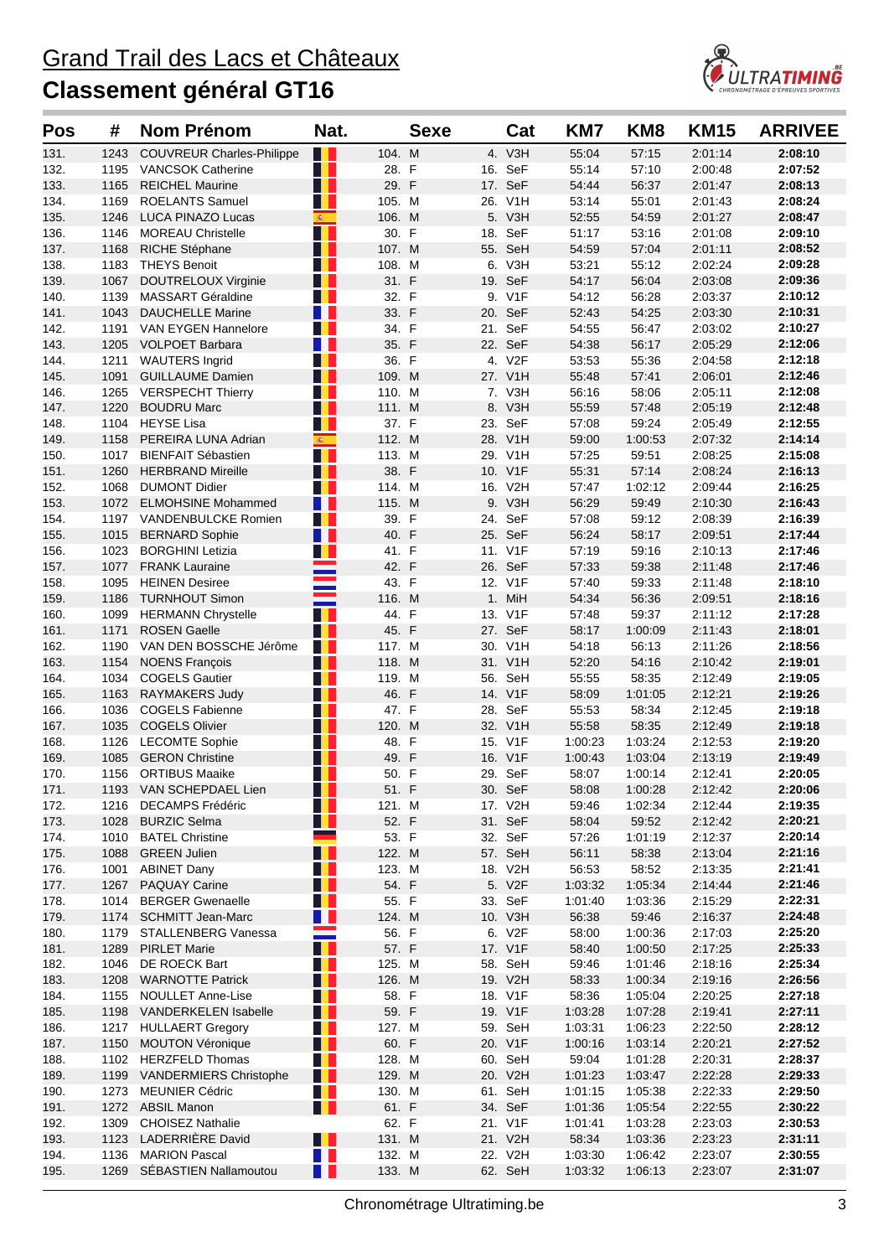

| Pos          | #            | Nom Prénom                                       | Nat.                      |                  | <b>Sexe</b> | Cat                | KM7            | KM <sub>8</sub>    | <b>KM15</b>        | <b>ARRIVEE</b>     |
|--------------|--------------|--------------------------------------------------|---------------------------|------------------|-------------|--------------------|----------------|--------------------|--------------------|--------------------|
| 131.         | 1243         | <b>COUVREUR Charles-Philippe</b>                 |                           | 104. M           |             | 4. V3H             | 55:04          | 57:15              | 2:01:14            | 2:08:10            |
| 132.         | 1195         | <b>VANCSOK Catherine</b>                         | H.                        | 28. F            |             | 16. SeF            | 55:14          | 57:10              | 2:00:48            | 2:07:52            |
| 133.         | 1165         | <b>REICHEL Maurine</b>                           | H.                        | 29. F            |             | 17. SeF            | 54:44          | 56:37              | 2:01:47            | 2:08:13            |
| 134.         | 1169         | <b>ROELANTS Samuel</b>                           | <b>TI</b>                 | 105. M           |             | 26. V1H            | 53:14          | 55:01              | 2:01:43            | 2:08:24            |
| 135.         | 1246         | <b>LUCA PINAZO Lucas</b>                         | 楽                         | 106. M           |             | 5. V3H             | 52:55          | 54:59              | 2:01:27            | 2:08:47            |
| 136.         | 1146         | <b>MOREAU Christelle</b>                         | H.                        | 30. F            |             | 18. SeF            | 51:17          | 53:16              | 2:01:08            | 2:09:10            |
| 137.         | 1168         | RICHE Stéphane                                   | . .                       | 107. M           |             | 55. SeH            | 54:59          | 57:04              | 2:01:11            | 2:08:52            |
| 138.         | 1183         | <b>THEYS Benoit</b>                              | H.                        | 108. M           |             | 6. V3H             | 53:21          | 55:12              | 2:02:24            | 2:09:28            |
| 139.         | 1067         | <b>DOUTRELOUX Virginie</b>                       | H.                        | 31. F            |             | 19. SeF            | 54:17          | 56:04              | 2:03:08            | 2:09:36            |
| 140.         | 1139         | <b>MASSART Géraldine</b>                         | H.                        | 32. F            |             | 9. V1F             | 54:12          | 56:28              | 2:03:37            | 2:10:12            |
| 141.         | 1043         | <b>DAUCHELLE Marine</b>                          | Ш                         | 33. F            |             | 20. SeF            | 52:43          | 54:25              | 2:03:30            | 2:10:31            |
| 142.         | 1191         | <b>VAN EYGEN Hannelore</b>                       | H L                       | 34. F            |             | 21. SeF            | 54:55          | 56:47              | 2:03:02            | 2:10:27            |
| 143.         | 1205         | VOLPOET Barbara                                  | n n<br>H L                | 35. F<br>36. F   |             | 22. SeF            | 54:38          | 56:17              | 2:05:29            | 2:12:06<br>2:12:18 |
| 144.<br>145. | 1211<br>1091 | <b>WAUTERS Ingrid</b><br><b>GUILLAUME Damien</b> | H.                        | 109. M           |             | 4. V2F<br>27. V1H  | 53:53<br>55:48 | 55:36<br>57:41     | 2:04:58<br>2:06:01 | 2:12:46            |
| 146.         | 1265         | <b>VERSPECHT Thierry</b>                         | a provincia de la contrad | 110. M           |             | 7. V3H             | 56:16          | 58:06              | 2:05:11            | 2:12:08            |
| 147.         | 1220         | <b>BOUDRU Marc</b>                               | . .                       | 111. M           |             | 8. V3H             | 55:59          | 57:48              | 2:05:19            | 2:12:48            |
| 148.         |              | 1104 HEYSE Lisa                                  | N D                       | 37. F            |             | 23. SeF            | 57:08          | 59:24              | 2:05:49            | 2:12:55            |
| 149.         | 1158         | PEREIRA LUNA Adrian                              | 60                        | 112. M           |             | 28. V1H            | 59:00          | 1:00:53            | 2:07:32            | 2:14:14            |
| 150.         | 1017         | <b>BIENFAIT Sébastien</b>                        | H                         | 113. M           |             | 29. V1H            | 57:25          | 59:51              | 2:08:25            | 2:15:08            |
| 151.         | 1260         | <b>HERBRAND Mireille</b>                         | H I                       | 38. F            |             | 10. V1F            | 55:31          | 57:14              | 2:08:24            | 2:16:13            |
| 152.         | 1068         | <b>DUMONT Didier</b>                             | a T                       | 114. M           |             | 16. V2H            | 57:47          | 1:02:12            | 2:09:44            | 2:16:25            |
| 153.         | 1072         | <b>ELMOHSINE Mohammed</b>                        | Ш                         | 115. M           |             | 9. V3H             | 56:29          | 59:49              | 2:10:30            | 2:16:43            |
| 154.         | 1197         | <b>VANDENBULCKE Romien</b>                       | . .                       | 39. F            |             | 24. SeF            | 57:08          | 59:12              | 2:08:39            | 2:16:39            |
| 155.         | 1015         | <b>BERNARD Sophie</b>                            | n n                       | 40. F            |             | 25. SeF            | 56:24          | 58:17              | 2:09:51            | 2:17:44            |
| 156.         | 1023         | <b>BORGHINI Letizia</b>                          | H L                       | 41. F            |             | 11. V1F            | 57:19          | 59:16              | 2:10:13            | 2:17:46            |
| 157.         | 1077         | <b>FRANK Lauraine</b>                            |                           | 42. F            |             | 26. SeF            | 57:33          | 59:38              | 2:11:48            | 2:17:46            |
| 158.         | 1095         | <b>HEINEN Desiree</b>                            |                           | 43. F            |             | 12. V1F            | 57:40          | 59:33              | 2:11:48            | 2:18:10            |
| 159.         | 1186         | <b>TURNHOUT Simon</b>                            |                           | 116. M           |             | 1. MiH             | 54:34          | 56:36              | 2:09:51            | 2:18:16            |
| 160.         | 1099         | <b>HERMANN Chrystelle</b>                        | H                         | 44. F            |             | 13. V1F            | 57:48          | 59:37              | 2:11:12            | 2:17:28            |
| 161.         | 1171         | <b>ROSEN Gaelle</b>                              | H                         | 45. F            |             | 27. SeF            | 58:17          | 1:00:09            | 2:11:43            | 2:18:01            |
| 162.         | 1190         | VAN DEN BOSSCHE Jérôme                           | <b>TI</b>                 | 117. M           |             | 30. V1H            | 54:18          | 56:13              | 2:11:26            | 2:18:56            |
| 163.         | 1154         | <b>NOENS François</b>                            | H<br>H.                   | 118. M           |             | 31. V1H<br>56. SeH | 52:20          | 54:16              | 2:10:42            | 2:19:01<br>2:19:05 |
| 164.<br>165. | 1034<br>1163 | <b>COGELS Gautier</b><br><b>RAYMAKERS Judy</b>   | H                         | 119. M<br>46. F  |             | 14. V1F            | 55:55<br>58:09 | 58:35<br>1:01:05   | 2:12:49<br>2:12:21 | 2:19:26            |
| 166.         | 1036         | <b>COGELS Fabienne</b>                           | H L                       | 47. F            |             | 28. SeF            | 55:53          | 58:34              | 2:12:45            | 2:19:18            |
| 167.         | 1035         | <b>COGELS Olivier</b>                            | n L                       | 120. M           |             | 32. V1H            | 55:58          | 58:35              | 2:12:49            | 2:19:18            |
| 168.         | 1126         | <b>LECOMTE Sophie</b>                            | a pro                     | 48. F            |             | 15. V1F            | 1:00:23        | 1:03:24            | 2:12:53            | 2:19:20            |
| 169.         | 1085         | <b>GERON Christine</b>                           | H L                       | 49. F            |             | 16. V1F            | 1:00:43        | 1:03:04            | 2:13:19            | 2:19:49            |
| 170.         | 1156         | <b>ORTIBUS Maaike</b>                            | H.                        | 50. F            |             | 29. SeF            | 58:07          | 1:00:14            | 2:12:41            | 2:20:05            |
| 171.         |              | 1193 VAN SCHEPDAEL Lien                          | T.                        | 51. F            |             | 30. SeF            | 58:08          | 1:00:28            | 2:12:42            | 2:20:06            |
| 172.         |              | 1216 DECAMPS Frédéric                            | <b>THE</b>                | 121. M           |             | 17. V2H            | 59:46          | 1:02:34            | 2:12:44            | 2:19:35            |
| 173.         | 1028         | <b>BURZIC Selma</b>                              | H L                       | 52. F            |             | 31. SeF            | 58:04          | 59:52              | 2:12:42            | 2:20:21            |
| 174.         | 1010         | <b>BATEL Christine</b>                           |                           | 53. F            |             | 32. SeF            | 57:26          | 1:01:19            | 2:12:37            | 2:20:14            |
| 175.         | 1088         | <b>GREEN Julien</b>                              | H                         | 122. M           |             | 57. SeH            | 56:11          | 58:38              | 2:13:04            | 2:21:16            |
| 176.         | 1001         | <b>ABINET Dany</b>                               | H.                        | 123. M           |             | 18. V2H            | 56:53          | 58:52              | 2:13:35            | 2:21:41            |
| 177.         | 1267         | <b>PAQUAY Carine</b>                             | H L                       | 54. F            |             | 5. V2F             | 1:03:32        | 1:05:34            | 2:14:44            | 2:21:46            |
| 178.         | 1014         | <b>BERGER Gwenaelle</b>                          |                           | 55. F            |             | 33. SeF            | 1:01:40        | 1:03:36            | 2:15:29            | 2:22:31            |
| 179.         | 1174         | <b>SCHMITT Jean-Marc</b>                         | Ш                         | 124. M           |             | 10. V3H            | 56:38          | 59:46              | 2:16:37            | 2:24:48            |
| 180.         | 1179         | STALLENBERG Vanessa                              | an di Kabupatén           | 56. F            |             | 6. V2F             | 58:00          | 1:00:36            | 2:17:03            | 2:25:20            |
| 181.         | 1289         | <b>PIRLET Marie</b>                              | W<br>H                    | 57. F            |             | 17. V1F            | 58:40          | 1:00:50            | 2:17:25            | 2:25:33            |
| 182.<br>183. | 1046<br>1208 | DE ROECK Bart<br><b>WARNOTTE Patrick</b>         | H E                       | 125. M<br>126. M |             | 58. SeH<br>19. V2H | 59:46<br>58:33 | 1:01:46<br>1:00:34 | 2:18:16<br>2:19:16 | 2:25:34<br>2:26:56 |
| 184.         | 1155         | NOULLET Anne-Lise                                | Œ                         | 58. F            |             | 18. V1F            | 58:36          | 1:05:04            | 2:20:25            | 2:27:18            |
| 185.         | 1198         | <b>VANDERKELEN Isabelle</b>                      | . .                       | 59. F            |             | 19. V1F            | 1:03:28        | 1:07:28            | 2:19:41            | 2:27:11            |
| 186.         |              | 1217 HULLAERT Gregory                            | <u>i l</u>                | 127. M           |             | 59. SeH            | 1:03:31        | 1:06:23            | 2:22:50            | 2:28:12            |
| 187.         | 1150         | <b>MOUTON Véronique</b>                          | H                         | 60. F            |             | 20. V1F            | 1:00:16        | 1:03:14            | 2:20:21            | 2:27:52            |
| 188.         |              | 1102 HERZFELD Thomas                             | H.                        | 128. M           |             | 60. SeH            | 59:04          | 1:01:28            | 2:20:31            | 2:28:37            |
| 189.         |              | 1199 VANDERMIERS Christophe                      | H I                       | 129. M           |             | 20. V2H            | 1:01:23        | 1:03:47            | 2:22:28            | 2:29:33            |
| 190.         | 1273         | <b>MEUNIER Cédric</b>                            | <u>i l</u>                | 130. M           |             | 61. SeH            | 1:01:15        | 1:05:38            | 2:22:33            | 2:29:50            |
| 191.         |              | 1272 ABSIL Manon                                 | . .                       | 61. F            |             | 34. SeF            | 1:01:36        | 1:05:54            | 2:22:55            | 2:30:22            |
| 192.         | 1309         | <b>CHOISEZ Nathalie</b>                          |                           | 62. F            |             | 21. V1F            | 1:01:41        | 1:03:28            | 2:23:03            | 2:30:53            |
| 193.         | 1123         | LADERRIÈRE David                                 | T L                       | 131. M           |             | 21. V2H            | 58:34          | 1:03:36            | 2:23:23            | 2:31:11            |
| 194.         | 1136         | <b>MARION Pascal</b>                             | T I                       | 132. M           |             | 22. V2H            | 1:03:30        | 1:06:42            | 2:23:07            | 2:30:55            |
| 195.         | 1269         | SÉBASTIEN Nallamoutou                            | H                         | 133. M           |             | 62. SeH            | 1:03:32        | 1:06:13            | 2:23:07            | 2:31:07            |
|              |              |                                                  |                           |                  |             |                    |                |                    |                    |                    |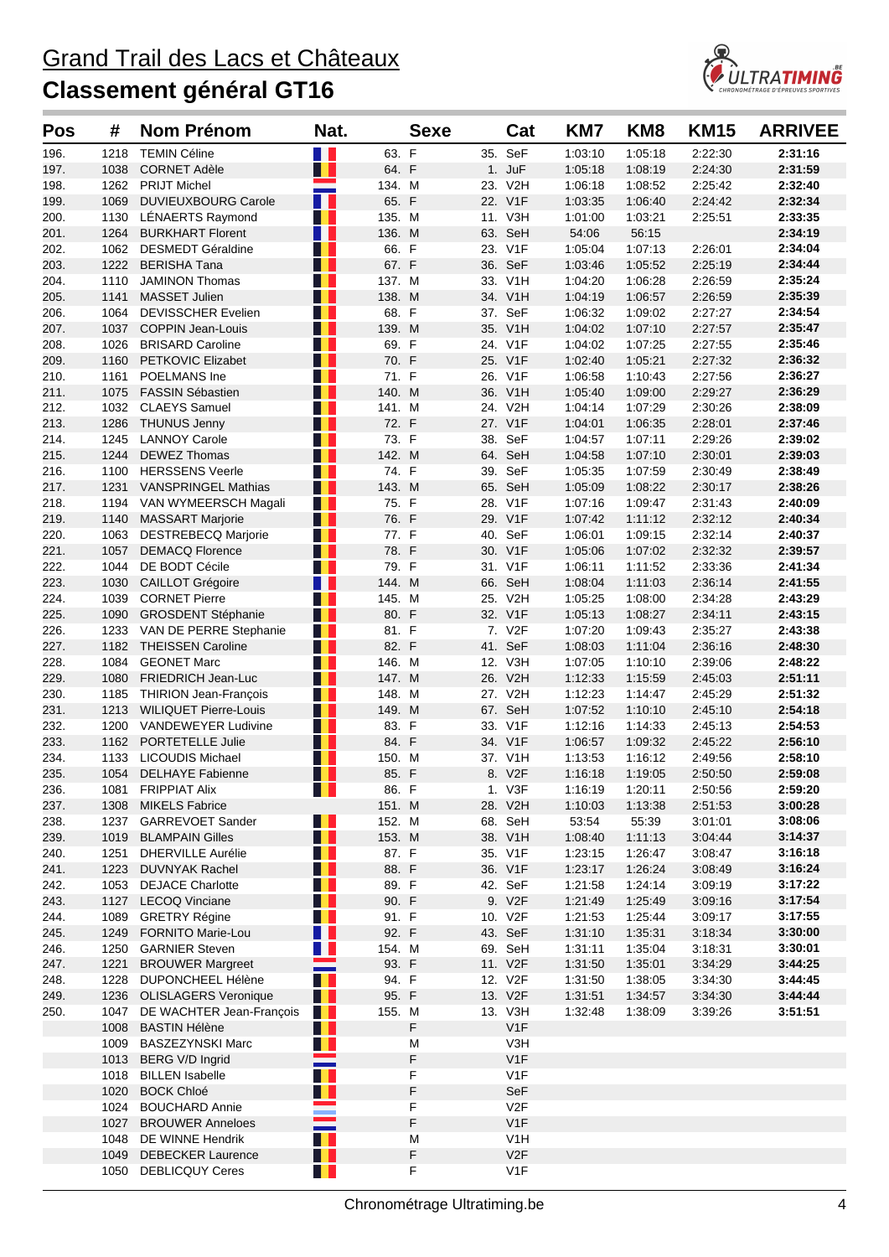

| <b>Pos</b>   | #            | <b>Nom Prénom</b>                                    | Nat.       |                  | <b>Sexe</b> |     | Cat                    | KM7                | KM <sub>8</sub>    | <b>KM15</b>        | <b>ARRIVEE</b>     |
|--------------|--------------|------------------------------------------------------|------------|------------------|-------------|-----|------------------------|--------------------|--------------------|--------------------|--------------------|
| 196.         | 1218         | <b>TEMIN Céline</b>                                  | n n        | 63. F            |             |     | 35. SeF                | 1:03:10            | 1:05:18            | 2:22:30            | 2:31:16            |
| 197.         | 1038         | <b>CORNET Adèle</b>                                  | H          | 64. F            |             |     | 1. JuF                 | 1:05:18            | 1:08:19            | 2:24:30            | 2:31:59            |
| 198.         |              | 1262 PRIJT Michel                                    | e e        | 134. M           |             |     | 23. V2H                | 1:06:18            | 1:08:52            | 2:25:42            | 2:32:40            |
| 199.         | 1069         | <b>DUVIEUXBOURG Carole</b>                           | ПП         | 65. F            |             |     | 22. V1F                | 1:03:35            | 1:06:40            | 2:24:42            | 2:32:34            |
| 200.         | 1130         | LÉNAERTS Raymond                                     | H.         | 135. M           |             |     | 11. V3H                | 1:01:00            | 1:03:21            | 2:25:51            | 2:33:35            |
| 201.         | 1264         | <b>BURKHART Florent</b>                              | H II       | 136. M           |             |     | 63. SeH                | 54:06              | 56:15              |                    | 2:34:19            |
| 202.         | 1062         | <b>DESMEDT Géraldine</b>                             | H.         | 66. F<br>67. F   |             |     | 23. V1F                | 1:05:04            | 1:07:13            | 2:26:01            | 2:34:04            |
| 203.<br>204. | 1222<br>1110 | <b>BERISHA Tana</b><br><b>JAMINON Thomas</b>         | HH.<br>H I | 137. M           |             |     | 36. SeF<br>33. V1H     | 1:03:46<br>1:04:20 | 1:05:52<br>1:06:28 | 2:25:19<br>2:26:59 | 2:34:44<br>2:35:24 |
| 205.         | 1141         | MASSET Julien                                        | H I        | 138. M           |             |     | 34. V1H                | 1:04:19            | 1:06:57            | 2:26:59            | 2:35:39            |
| 206.         | 1064         | <b>DEVISSCHER Evelien</b>                            | H          | 68. F            |             |     | 37. SeF                | 1:06:32            | 1:09:02            | 2:27:27            | 2:34:54            |
| 207.         | 1037         | <b>COPPIN Jean-Louis</b>                             | H          | 139. M           |             |     | 35. V1H                | 1:04:02            | 1:07:10            | 2:27:57            | 2:35:47            |
| 208.         | 1026         | <b>BRISARD Caroline</b>                              | H.         | 69. F            |             |     | 24. V1F                | 1:04:02            | 1:07:25            | 2:27:55            | 2:35:46            |
| 209.         | 1160         | PETKOVIC Elizabet                                    | H          | 70. F            |             |     | 25. V1F                | 1:02:40            | 1:05:21            | 2:27:32            | 2:36:32            |
| 210.         | 1161         | POELMANS Ine                                         | H.         | 71. F            |             |     | 26. V1F                | 1:06:58            | 1:10:43            | 2:27:56            | 2:36:27            |
| 211.         | 1075         | <b>FASSIN Sébastien</b>                              | H          | 140. M           |             |     | 36. V1H                | 1:05:40            | 1:09:00            | 2:29:27            | 2:36:29            |
| 212.         | 1032         | <b>CLAEYS Samuel</b>                                 |            | 141. M           |             |     | 24. V2H                | 1:04:14            | 1:07:29            | 2:30:26            | 2:38:09            |
| 213.         | 1286         | <b>THUNUS Jenny</b>                                  | H I        | 72. F            |             |     | 27. V1F                | 1:04:01            | 1:06:35            | 2:28:01            | 2:37:46            |
| 214.         | 1245         | <b>LANNOY Carole</b>                                 | H          | 73. F            |             |     | 38. SeF                | 1:04:57            | 1:07:11            | 2:29:26            | 2:39:02            |
| 215.         | 1244         | <b>DEWEZ Thomas</b>                                  | H          | 142. M           |             |     | 64. SeH                | 1:04:58            | 1:07:10            | 2:30:01            | 2:39:03            |
| 216.         | 1100         | <b>HERSSENS Veerle</b>                               | H I        | 74. F            |             |     | 39. SeF                | 1:05:35            | 1:07:59            | 2:30:49            | 2:38:49            |
| 217.         | 1231         | <b>VANSPRINGEL Mathias</b>                           |            | 143. M           |             |     | 65. SeH                | 1:05:09            | 1:08:22            | 2:30:17            | 2:38:26            |
| 218.         | 1194         | VAN WYMEERSCH Magali                                 | П<br>П     | 75. F            |             |     | 28. V1F                | 1:07:16            | 1:09:47            | 2:31:43            | 2:40:09            |
| 219.         | 1140         | <b>MASSART Marjorie</b>                              | H          | 76. F            |             |     | 29. V1F                | 1:07:42            | 1:11:12            | 2:32:12            | 2:40:34            |
| 220.<br>221. | 1063<br>1057 | <b>DESTREBECQ Marjorie</b><br><b>DEMACQ Florence</b> | H.<br>H I  | 77. F<br>78. F   |             |     | 40. SeF<br>30. V1F     | 1:06:01<br>1:05:06 | 1:09:15<br>1:07:02 | 2:32:14<br>2:32:32 | 2:40:37<br>2:39:57 |
| 222.         | 1044         | DE BODT Cécile                                       | ш          | 79. F            |             |     | 31. V1F                | 1:06:11            | 1:11:52            | 2:33:36            | 2:41:34            |
| 223.         | 1030         | <b>CAILLOT Grégoire</b>                              | П<br>F F   | 144. M           |             |     | 66. SeH                | 1:08:04            | 1:11:03            | 2:36:14            | 2:41:55            |
| 224.         | 1039         | <b>CORNET Pierre</b>                                 | H.         | 145. M           |             |     | 25. V2H                | 1:05:25            | 1:08:00            | 2:34:28            | 2:43:29            |
| 225.         | 1090         | <b>GROSDENT Stéphanie</b>                            | H I        | 80. F            |             |     | 32. V1F                | 1:05:13            | 1:08:27            | 2:34:11            | 2:43:15            |
| 226.         | 1233         | VAN DE PERRE Stephanie                               | W          | 81. F            |             |     | 7. V2F                 | 1:07:20            | 1:09:43            | 2:35:27            | 2:43:38            |
| 227.         | 1182         | <b>THEISSEN Caroline</b>                             | П<br>П     | 82. F            |             | 41. | SeF                    | 1:08:03            | 1:11:04            | 2:36:16            | 2:48:30            |
| 228.         | 1084         | <b>GEONET Marc</b>                                   | H.         | 146. M           |             |     | 12. V3H                | 1:07:05            | 1:10:10            | 2:39:06            | 2:48:22            |
| 229.         | 1080         | <b>FRIEDRICH Jean-Luc</b>                            | HH.        | 147. M           |             |     | 26. V2H                | 1:12:33            | 1:15:59            | 2:45:03            | 2:51:11            |
| 230.         | 1185         | <b>THIRION Jean-François</b>                         | H I        | 148. M           |             |     | 27. V2H                | 1:12:23            | 1:14:47            | 2:45:29            | 2:51:32            |
| 231.         | 1213         | <b>WILIQUET Pierre-Louis</b>                         | п<br>п     | 149. M           |             |     | 67. SeH                | 1:07:52            | 1:10:10            | 2:45:10            | 2:54:18            |
| 232.         | 1200         | <b>VANDEWEYER Ludivine</b>                           | H I        | 83. F            |             |     | 33. V1F                | 1:12:16            | 1:14:33            | 2:45:13            | 2:54:53            |
| 233.         | 1162         | PORTETELLE Julie                                     | H.         | 84. F            |             |     | 34. V1F                | 1:06:57            | 1:09:32            | 2:45:22            | 2:56:10            |
| 234.         | 1133         | <b>LICOUDIS Michael</b>                              | H.         | 150. M           |             |     | 37. V1H                | 1:13:53            | 1:16:12            | 2:49:56            | 2:58:10            |
| 235.         | 1054         | <b>DELHAYE Fabienne</b>                              | П          | 85. F            |             |     | 8. V2F                 | 1:16:18            | 1:19:05            | 2:50:50            | 2:59:08            |
| 236.         |              | 1081 FRIPPIAT Alix                                   | <b>THE</b> | 86. F            |             |     | 1. V3F                 | 1:16:19            | 1:20:11            | 2:50:56            | 2:59:20            |
| 237.<br>238. | 1308         | <b>MIKELS Fabrice</b><br>1237 GARREVOET Sander       | H L        | 151. M<br>152. M |             |     | 28. V2H<br>68. SeH     | 1:10:03<br>53:54   | 1:13:38<br>55:39   | 2:51:53<br>3:01:01 | 3:00:28<br>3:08:06 |
| 239.         | 1019         | <b>BLAMPAIN Gilles</b>                               | . .        | 153. M           |             |     | 38. V1H                | 1:08:40            | 1:11:13            | 3:04:44            | 3:14:37            |
| 240.         | 1251         | <b>DHERVILLE Aurélie</b>                             | W          | 87. F            |             |     | 35. V1F                | 1:23:15            | 1:26:47            | 3:08:47            | 3:16:18            |
| 241.         |              | 1223 DUVNYAK Rachel                                  |            | 88. F            |             |     | 36. V1F                | 1:23:17            | 1:26:24            | 3.08.49            | 3:16:24            |
| 242.         | 1053         | <b>DEJACE Charlotte</b>                              | .          | 89. F            |             |     | 42. SeF                | 1:21:58            | 1.24.14            | 3.09.19            | 3:17:22            |
| 243.         | 1127         | <b>LECOQ Vinciane</b>                                | n T        | 90. F            |             |     | 9. V2F                 | 1:21:49            | 1:25:49            | 3:09:16            | 3:17:54            |
| 244.         | 1089         | <b>GRETRY Régine</b>                                 | H I        | 91. F            |             |     | 10. V2F                | 1:21:53            | 1:25:44            | 3:09:17            | 3:17:55            |
| 245.         |              | 1249 FORNITO Marie-Lou                               | ПП         | 92. F            |             |     | 43. SeF                | 1:31:10            | 1:35:31            | 3:18:34            | 3:30:00            |
| 246.         | 1250         | <b>GARNIER Steven</b>                                | H          | 154. M           |             |     | 69. SeH                | 1:31:11            | 1:35:04            | 3:18:31            | 3:30:01            |
| 247.         | 1221         | <b>BROUWER Margreet</b>                              |            | 93. F            |             |     | 11. V2F                | 1:31:50            | 1:35:01            | 3:34:29            | 3:44:25            |
| 248.         | 1228         | <b>DUPONCHEEL Hélène</b>                             | H.         | 94. F            |             |     | 12. V2F                | 1:31:50            | 1:38:05            | 3:34:30            | 3:44:45            |
| 249.         | 1236         | <b>OLISLAGERS Veronique</b>                          |            | 95. F            |             |     | 13. V2F                | 1:31.51            | 1:34:57            | 3:34:30            | 3:44:44            |
| 250.         |              | 1047 DE WACHTER Jean-François                        | H.         | 155. M           |             |     | 13. V3H                | 1:32:48            | 1:38:09            | 3:39:26            | 3:51:51            |
|              |              | 1008 BASTIN Hélène                                   | H          |                  | F           |     | V1F                    |                    |                    |                    |                    |
|              |              | 1009 BASZEZYNSKI Marc                                | H I        |                  | М           |     | V3H                    |                    |                    |                    |                    |
|              |              | 1013 BERG V/D Ingrid                                 |            |                  | F           |     | V1F                    |                    |                    |                    |                    |
|              |              | 1018 BILLEN Isabelle                                 | W          |                  | F           |     | V <sub>1</sub> F       |                    |                    |                    |                    |
|              |              | 1020 BOCK Chloé<br>1024 BOUCHARD Annie               | . .        |                  | F<br>F      |     | SeF<br>V <sub>2F</sub> |                    |                    |                    |                    |
|              | 1027         | <b>BROUWER Anneloes</b>                              |            |                  | F           |     | V1F                    |                    |                    |                    |                    |
|              |              | 1048 DE WINNE Hendrik                                | H          |                  | M           |     | V1H                    |                    |                    |                    |                    |
|              | 1049         | <b>DEBECKER Laurence</b>                             | H          |                  | F           |     | V2F                    |                    |                    |                    |                    |
|              |              | 1050 DEBLICQUY Ceres                                 | <b>THE</b> |                  | F           |     | V <sub>1</sub> F       |                    |                    |                    |                    |
|              |              |                                                      |            |                  |             |     |                        |                    |                    |                    |                    |